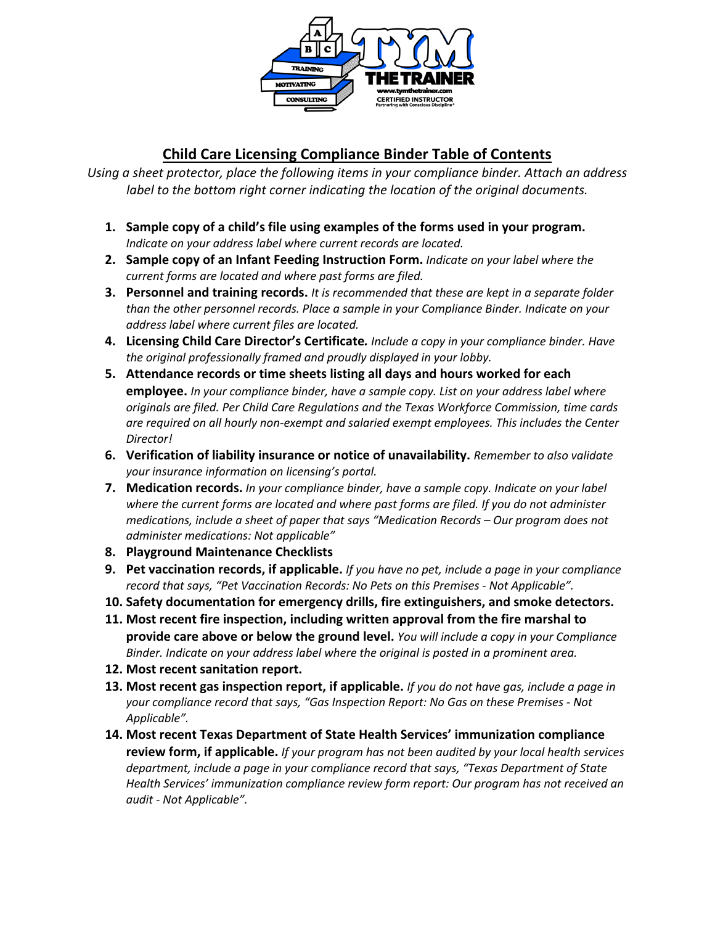

## **Child Care Licensing Compliance Binder Table of Contents**

*Using a sheet protector, place the following items in your compliance binder. Attach an address label to the bottom right corner indicating the location of the original documents.* 

- **1. Sample copy of a child's file using examples of the forms used in your program.** *Indicate on your address label where current records are located.*
- **2. Sample copy of an Infant Feeding Instruction Form.** *Indicate on your label where the current forms are located and where past forms are filed.*
- **3. Personnel and training records.** *It is recommended that these are kept in a separate folder than the other personnel records. Place a sample in your Compliance Binder. Indicate on your address label where current files are located.*
- **4. Licensing Child Care Director's Certificate***. Include a copy in your compliance binder. Have the original professionally framed and proudly displayed in your lobby.*
- **5. Attendance records or time sheets listing all days and hours worked for each employee.** *In your compliance binder, have a sample copy. List on your address label where originals are filed. Per Child Care Regulations and the Texas Workforce Commission, time cards are required on all hourly non-exempt and salaried exempt employees. This includes the Center Director!*
- **6. Verification of liability insurance or notice of unavailability.** *Remember to also validate your insurance information on licensing's portal.*
- **7. Medication records.** *In your compliance binder, have a sample copy. Indicate on your label where the current forms are located and where past forms are filed. If you do not administer medications, include a sheet of paper that says "Medication Records – Our program does not administer medications: Not applicable"*
- **8. Playground Maintenance Checklists**
- **9. Pet vaccination records, if applicable.** *If you have no pet, include a page in your compliance record that says, "Pet Vaccination Records: No Pets on this Premises - Not Applicable".*
- **10. Safety documentation for emergency drills, fire extinguishers, and smoke detectors.**
- **11. Most recent fire inspection, including written approval from the fire marshal to provide care above or below the ground level.** *You will include a copy in your Compliance Binder. Indicate on your address label where the original is posted in a prominent area.*
- **12. Most recent sanitation report.**
- **13. Most recent gas inspection report, if applicable.** *If you do not have gas, include a page in your compliance record that says, "Gas Inspection Report: No Gas on these Premises - Not Applicable".*
- **14. Most recent Texas Department of State Health Services' immunization compliance review form, if applicable.** *If your program has not been audited by your local health services department, include a page in your compliance record that says, "Texas Department of State Health Services' immunization compliance review form report: Our program has not received an audit - Not Applicable".*